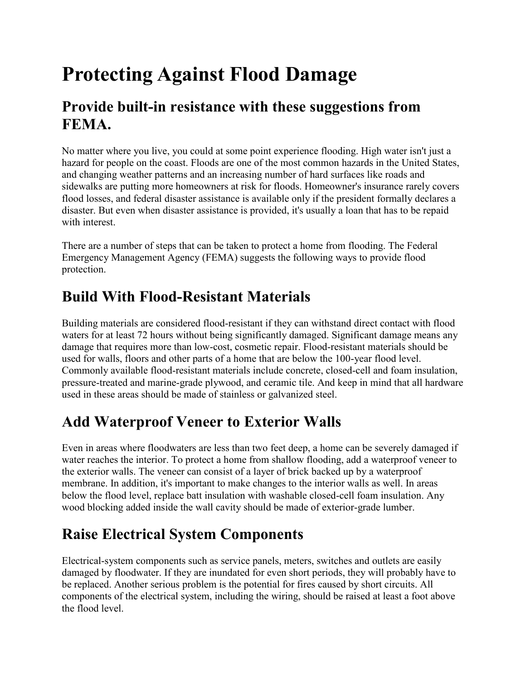# **Protecting Against Flood Damage**

#### **Provide built-in resistance with these suggestions from FEMA.**

No matter where you live, you could at some point experience flooding. High water isn't just a hazard for people on the coast. Floods are one of the most common hazards in the United States, and changing weather patterns and an increasing number of hard surfaces like roads and sidewalks are putting more homeowners at risk for floods. Homeowner's insurance rarely covers flood losses, and federal disaster assistance is available only if the president formally declares a disaster. But even when disaster assistance is provided, it's usually a loan that has to be repaid with interest.

There are a number of steps that can be taken to protect a home from flooding. The Federal Emergency Management Agency (FEMA) suggests the following ways to provide flood protection.

## **Build With Flood-Resistant Materials**

Building materials are considered flood-resistant if they can withstand direct contact with flood waters for at least 72 hours without being significantly damaged. Significant damage means any damage that requires more than low-cost, cosmetic repair. Flood-resistant materials should be used for walls, floors and other parts of a home that are below the 100-year flood level. Commonly available flood-resistant materials include concrete, closed-cell and foam insulation, pressure-treated and marine-grade plywood, and ceramic tile. And keep in mind that all hardware used in these areas should be made of stainless or galvanized steel.

# **Add Waterproof Veneer to Exterior Walls**

Even in areas where floodwaters are less than two feet deep, a home can be severely damaged if water reaches the interior. To protect a home from shallow flooding, add a waterproof veneer to the exterior walls. The veneer can consist of a layer of brick backed up by a waterproof membrane. In addition, it's important to make changes to the interior walls as well. In areas below the flood level, replace batt insulation with washable closed-cell foam insulation. Any wood blocking added inside the wall cavity should be made of exterior-grade lumber.

# **Raise Electrical System Components**

Electrical-system components such as service panels, meters, switches and outlets are easily damaged by floodwater. If they are inundated for even short periods, they will probably have to be replaced. Another serious problem is the potential for fires caused by short circuits. All components of the electrical system, including the wiring, should be raised at least a foot above the flood level.